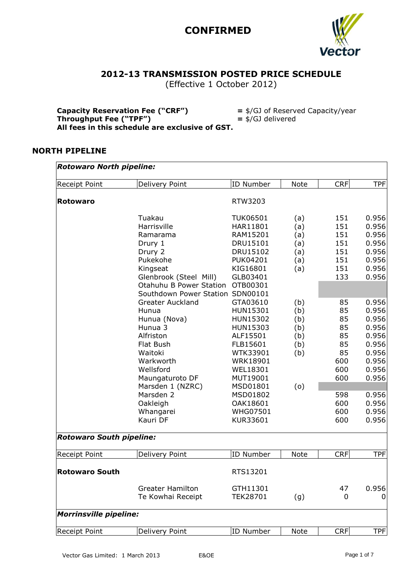

### **2012-13 TRANSMISSION POSTED PRICE SCHEDULE**

(Effective 1 October 2012)

| <b>Capacity Reservation Fee ("CRF")</b>         | $=$ \$/GJ of Reserved Capacity/year |
|-------------------------------------------------|-------------------------------------|
| Throughput Fee ("TPF")                          | $=$ \$/GJ delivered                 |
| All fees in this schedule are exclusive of GST. |                                     |

#### **NORTH PIPELINE**

| Receipt Point                   | Delivery Point                   | <b>ID Number</b> | Note        | <b>CRF</b> | <b>TPF</b> |
|---------------------------------|----------------------------------|------------------|-------------|------------|------------|
| <b>Rotowaro</b>                 |                                  | RTW3203          |             |            |            |
|                                 | Tuakau                           | <b>TUK06501</b>  | (a)         | 151        | 0.956      |
|                                 | Harrisville                      | HAR11801         | (a)         | 151        | 0.956      |
|                                 | Ramarama                         | RAM15201         | (a)         | 151        | 0.956      |
|                                 | Drury 1                          | DRU15101         | (a)         | 151        | 0.956      |
|                                 | Drury 2                          | DRU15102         | (a)         | 151        | 0.956      |
|                                 | Pukekohe                         | <b>PUK04201</b>  | (a)         | 151        | 0.956      |
|                                 | Kingseat                         | KIG16801         | (a)         | 151        | 0.956      |
|                                 | Glenbrook (Steel Mill)           | GLB03401         |             | 133        | 0.956      |
|                                 | Otahuhu B Power Station          | OTB00301         |             |            |            |
|                                 | Southdown Power Station SDN00101 |                  |             |            |            |
|                                 | <b>Greater Auckland</b>          | GTA03610         | (b)         | 85         | 0.956      |
|                                 | Hunua                            | HUN15301         | (b)         | 85         | 0.956      |
|                                 | Hunua (Nova)                     | HUN15302         | (b)         | 85         | 0.956      |
|                                 | Hunua 3                          | HUN15303         | (b)         | 85         | 0.956      |
|                                 | Alfriston                        | ALF15501         | (b)         | 85         | 0.956      |
|                                 | Flat Bush                        | FLB15601         | (b)         | 85         | 0.956      |
|                                 | Waitoki                          | WTK33901         | (b)         | 85         | 0.956      |
|                                 | Warkworth                        | <b>WRK18901</b>  |             | 600        | 0.956      |
|                                 | Wellsford                        | WEL18301         |             | 600        | 0.956      |
|                                 | Maungaturoto DF                  | MUT19001         |             | 600        | 0.956      |
|                                 | Marsden 1 (NZRC)                 | MSD01801         | (0)         |            |            |
|                                 | Marsden 2                        | MSD01802         |             | 598        | 0.956      |
|                                 | Oakleigh                         | OAK18601         |             | 600        | 0.956      |
|                                 | Whangarei                        | <b>WHG07501</b>  |             | 600        | 0.956      |
|                                 | Kauri DF                         | KUR33601         |             | 600        | 0.956      |
| <b>Rotowaro South pipeline:</b> |                                  |                  |             |            |            |
| Receipt Point                   | Delivery Point                   | ID Number        | <b>Note</b> | <b>CRF</b> | <b>TPF</b> |
| <b>Rotowaro South</b>           |                                  | RTS13201         |             |            |            |
|                                 | <b>Greater Hamilton</b>          | GTH11301         |             | 47         | 0.956      |
|                                 | Te Kowhai Receipt                | <b>TEK28701</b>  | (g)         | 0          | O          |
| <b>Morrinsville pipeline:</b>   |                                  |                  |             |            |            |
| Receipt Point                   | Delivery Point                   | <b>ID Number</b> | Note        | <b>CRF</b> | <b>TPF</b> |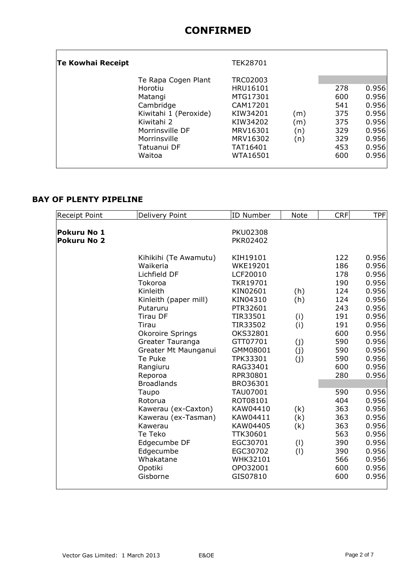| Te Kowhai Receipt |                                                                                                                                                           | TEK28701                                                                                                             |                          |                                                             |                                                                               |
|-------------------|-----------------------------------------------------------------------------------------------------------------------------------------------------------|----------------------------------------------------------------------------------------------------------------------|--------------------------|-------------------------------------------------------------|-------------------------------------------------------------------------------|
|                   | Te Rapa Cogen Plant<br>Horotiu<br>Matangi<br>Cambridge<br>Kiwitahi 1 (Peroxide)<br>Kiwitahi 2<br>Morrinsville DF<br>Morrinsville<br>Tatuanui DF<br>Waitoa | TRC02003<br>HRU16101<br>MTG17301<br>CAM17201<br>KIW34201<br>KIW34202<br>MRV16301<br>MRV16302<br>TAT16401<br>WTA16501 | (m)<br>(m)<br>(n)<br>(n) | 278<br>600<br>541<br>375<br>375<br>329<br>329<br>453<br>600 | 0.956<br>0.956<br>0.956<br>0.956<br>0.956<br>0.956<br>0.956<br>0.956<br>0.956 |

### **BAY OF PLENTY PIPELINE**

| Receipt Point      | Delivery Point        | <b>ID Number</b> | <b>Note</b> | <b>CRF</b> | <b>TPF</b> |
|--------------------|-----------------------|------------------|-------------|------------|------------|
| Pokuru No 1        |                       | <b>PKU02308</b>  |             |            |            |
| <b>Pokuru No 2</b> |                       | PKR02402         |             |            |            |
|                    |                       |                  |             |            |            |
|                    | Kihikihi (Te Awamutu) | KIH19101         |             | 122        | 0.956      |
|                    | Waikeria              | <b>WKE19201</b>  |             | 186        | 0.956      |
|                    | Lichfield DF          | LCF20010         |             | 178        | 0.956      |
|                    | Tokoroa               | <b>TKR19701</b>  |             | 190        | 0.956      |
|                    | Kinleith              | KIN02601         | (h)         | 124        | 0.956      |
|                    | Kinleith (paper mill) | KIN04310         | (h)         | 124        | 0.956      |
|                    | Putaruru              | PTR32601         |             | 243        | 0.956      |
|                    | <b>Tirau DF</b>       | TIR33501         | (i)         | 191        | 0.956      |
|                    | Tirau                 | TIR33502         | (i)         | 191        | 0.956      |
|                    | Okoroire Springs      | OKS32801         |             | 600        | 0.956      |
|                    | Greater Tauranga      | GTT07701         | (j)         | 590        | 0.956      |
|                    | Greater Mt Maunganui  | GMM08001         | (j)         | 590        | 0.956      |
|                    | Te Puke               | TPK33301         | (j)         | 590        | 0.956      |
|                    | Rangiuru              | RAG33401         |             | 600        | 0.956      |
|                    | Reporoa               | RPR30801         |             | 280        | 0.956      |
|                    | <b>Broadlands</b>     | BRO36301         |             |            |            |
|                    | Taupo                 | TAU07001         |             | 590        | 0.956      |
|                    | Rotorua               | ROT08101         |             | 404        | 0.956      |
|                    | Kawerau (ex-Caxton)   | KAW04410         | (k)         | 363        | 0.956      |
|                    | Kawerau (ex-Tasman)   | KAW04411         | (k)         | 363        | 0.956      |
|                    | Kawerau               | KAW04405         | (k)         | 363        | 0.956      |
|                    | Te Teko               | TTK30601         |             | 563        | 0.956      |
|                    | Edgecumbe DF          | EGC30701         | (1)         | 390        | 0.956      |
|                    | Edgecumbe             | EGC30702         | (1)         | 390        | 0.956      |
|                    | Whakatane             | WHK32101         |             | 566        | 0.956      |
|                    | Opotiki               | OPO32001         |             | 600        | 0.956      |
|                    | Gisborne              | GIS07810         |             | 600        | 0.956      |
|                    |                       |                  |             |            |            |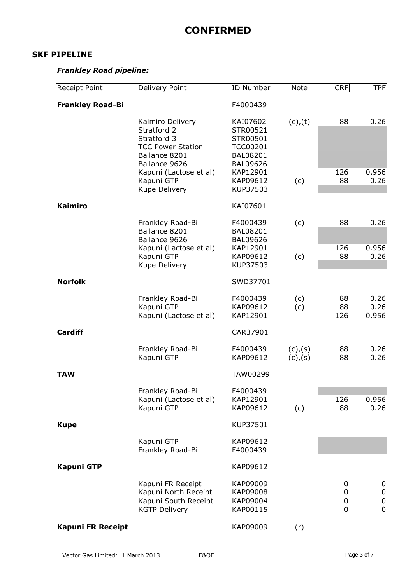#### **SKF PIPELINE**

| <b>Frankley Road pipeline:</b> |                                                                                                              |                                                                                           |                      |                         |                                              |
|--------------------------------|--------------------------------------------------------------------------------------------------------------|-------------------------------------------------------------------------------------------|----------------------|-------------------------|----------------------------------------------|
| Receipt Point                  | Delivery Point                                                                                               | <b>ID Number</b>                                                                          | Note                 | <b>CRF</b>              | <b>TPF</b>                                   |
| <b>Frankley Road-Bi</b>        |                                                                                                              | F4000439                                                                                  |                      |                         |                                              |
|                                | Kaimiro Delivery<br>Stratford 2<br>Stratford 3<br><b>TCC Power Station</b><br>Ballance 8201<br>Ballance 9626 | KAI07602<br>STR00521<br>STR00501<br><b>TCC00201</b><br><b>BAL08201</b><br><b>BAL09626</b> | $(c)$ , $(t)$        | 88                      | 0.26                                         |
|                                | Kapuni (Lactose et al)<br>Kapuni GTP<br>Kupe Delivery                                                        | KAP12901<br>KAP09612<br>KUP37503                                                          | (c)                  | 126<br>88               | 0.956<br>0.26                                |
| <b>Kaimiro</b>                 |                                                                                                              | KAI07601                                                                                  |                      |                         |                                              |
|                                | Frankley Road-Bi<br>Ballance 8201<br>Ballance 9626                                                           | F4000439<br><b>BAL08201</b><br><b>BAL09626</b>                                            | (c)                  | 88                      | 0.26                                         |
|                                | Kapuni (Lactose et al)<br>Kapuni GTP<br>Kupe Delivery                                                        | KAP12901<br>KAP09612<br>KUP37503                                                          | (c)                  | 126<br>88               | 0.956<br>0.26                                |
| <b>Norfolk</b>                 |                                                                                                              | SWD37701                                                                                  |                      |                         |                                              |
|                                | Frankley Road-Bi<br>Kapuni GTP<br>Kapuni (Lactose et al)                                                     | F4000439<br>KAP09612<br>KAP12901                                                          | (c)<br>(c)           | 88<br>88<br>126         | 0.26<br>0.26<br>0.956                        |
| <b>Cardiff</b>                 |                                                                                                              | CAR37901                                                                                  |                      |                         |                                              |
|                                | Frankley Road-Bi<br>Kapuni GTP                                                                               | F4000439<br>KAP09612                                                                      | (c), (s)<br>(c), (s) | 88<br>88                | 0.26<br>0.26                                 |
| <b>TAW</b>                     |                                                                                                              | TAW00299                                                                                  |                      |                         |                                              |
|                                | Frankley Road-Bi<br>Kapuni (Lactose et al)<br>Kapuni GTP                                                     | F4000439<br>KAP12901<br>KAP09612                                                          | (c)                  | 126<br>88               | 0.956<br>0.26                                |
| <b>Kupe</b>                    |                                                                                                              | KUP37501                                                                                  |                      |                         |                                              |
|                                | Kapuni GTP<br>Frankley Road-Bi                                                                               | KAP09612<br>F4000439                                                                      |                      |                         |                                              |
| <b>Kapuni GTP</b>              |                                                                                                              | KAP09612                                                                                  |                      |                         |                                              |
|                                | Kapuni FR Receipt<br>Kapuni North Receipt<br>Kapuni South Receipt<br><b>KGTP Delivery</b>                    | KAP09009<br>KAP09008<br>KAP09004<br>KAP00115                                              |                      | 0<br>0<br>0<br>$\Omega$ | 0<br>0<br>$\boldsymbol{0}$<br>$\overline{0}$ |
| <b>Kapuni FR Receipt</b>       |                                                                                                              | KAP09009                                                                                  | (r)                  |                         |                                              |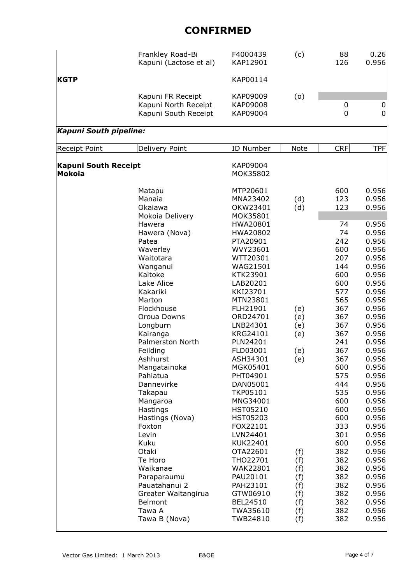|                                              | Frankley Road-Bi<br>Kapuni (Lactose et al)                                                                                                                                                                                                                                                                                                                                                                                                                                    | F4000439<br>KAP12901                                                                                                                                                                                                                                                                                                                                                                                                                                | (c)                                                                                                   | 88<br>126                                                                                                                                                                                                                                              | 0.26<br>0.956                                                                                                                                                                                                                                                                                                                    |
|----------------------------------------------|-------------------------------------------------------------------------------------------------------------------------------------------------------------------------------------------------------------------------------------------------------------------------------------------------------------------------------------------------------------------------------------------------------------------------------------------------------------------------------|-----------------------------------------------------------------------------------------------------------------------------------------------------------------------------------------------------------------------------------------------------------------------------------------------------------------------------------------------------------------------------------------------------------------------------------------------------|-------------------------------------------------------------------------------------------------------|--------------------------------------------------------------------------------------------------------------------------------------------------------------------------------------------------------------------------------------------------------|----------------------------------------------------------------------------------------------------------------------------------------------------------------------------------------------------------------------------------------------------------------------------------------------------------------------------------|
| <b>KGTP</b>                                  |                                                                                                                                                                                                                                                                                                                                                                                                                                                                               | KAP00114                                                                                                                                                                                                                                                                                                                                                                                                                                            |                                                                                                       |                                                                                                                                                                                                                                                        |                                                                                                                                                                                                                                                                                                                                  |
|                                              | Kapuni FR Receipt<br>Kapuni North Receipt<br>Kapuni South Receipt                                                                                                                                                                                                                                                                                                                                                                                                             | KAP09009<br>KAP09008<br>KAP09004                                                                                                                                                                                                                                                                                                                                                                                                                    | (o)                                                                                                   | $\boldsymbol{0}$<br>$\overline{0}$                                                                                                                                                                                                                     | 0<br>0                                                                                                                                                                                                                                                                                                                           |
| Kapuni South pipeline:                       |                                                                                                                                                                                                                                                                                                                                                                                                                                                                               |                                                                                                                                                                                                                                                                                                                                                                                                                                                     |                                                                                                       |                                                                                                                                                                                                                                                        |                                                                                                                                                                                                                                                                                                                                  |
| <b>Receipt Point</b>                         | Delivery Point                                                                                                                                                                                                                                                                                                                                                                                                                                                                | <b>ID Number</b>                                                                                                                                                                                                                                                                                                                                                                                                                                    | <b>Note</b>                                                                                           | <b>CRF</b>                                                                                                                                                                                                                                             | <b>TPF</b>                                                                                                                                                                                                                                                                                                                       |
| <b>Kapuni South Receipt</b><br><b>Mokoia</b> |                                                                                                                                                                                                                                                                                                                                                                                                                                                                               | KAP09004<br>MOK35802                                                                                                                                                                                                                                                                                                                                                                                                                                |                                                                                                       |                                                                                                                                                                                                                                                        |                                                                                                                                                                                                                                                                                                                                  |
|                                              | Matapu<br>Manaia<br>Okaiawa<br>Mokoia Delivery                                                                                                                                                                                                                                                                                                                                                                                                                                | MTP20601<br>MNA23402<br>OKW23401<br>MOK35801                                                                                                                                                                                                                                                                                                                                                                                                        | (d)<br>(d)                                                                                            | 600<br>123<br>123                                                                                                                                                                                                                                      | 0.956<br>0.956<br>0.956                                                                                                                                                                                                                                                                                                          |
|                                              | Hawera<br>Hawera (Nova)<br>Patea<br>Waverley<br>Waitotara<br>Wanganui<br>Kaitoke<br>Lake Alice<br>Kakariki<br>Marton<br>Flockhouse<br>Oroua Downs<br>Longburn<br>Kairanga<br>Palmerston North<br>Feilding<br>Ashhurst<br>Mangatainoka<br>Pahiatua<br>Dannevirke<br>Takapau<br>Mangaroa<br>Hastings<br>Hastings (Nova)<br>Foxton<br>Levin<br>Kuku<br>Otaki<br>Te Horo<br>Waikanae<br>Paraparaumu<br>Pauatahanui 2<br>Greater Waitangirua<br>Belmont<br>Tawa A<br>Tawa B (Nova) | HWA20801<br>HWA20802<br>PTA20901<br>WVY23601<br>WTT20301<br>WAG21501<br>KTK23901<br>LAB20201<br>KKI23701<br>MTN23801<br>FLH21901<br>ORD24701<br>LNB24301<br>KRG24101<br>PLN24201<br>FLD03001<br>ASH34301<br>MGK05401<br>PHT04901<br>DAN05001<br><b>TKP05101</b><br>MNG34001<br>HST05210<br>HST05203<br>FOX22101<br>LVN24401<br>KUK22401<br>OTA22601<br>THO22701<br>WAK22801<br>PAU20101<br>PAH23101<br>GTW06910<br>BEL24510<br>TWA35610<br>TWB24810 | (e)<br>(e)<br>(e)<br>(e)<br>(e)<br>(e)<br>(f)<br>(f)<br>(f)<br>(f)<br>(f)<br>(f)<br>(f)<br>(f)<br>(f) | 74<br>74<br>242<br>600<br>207<br>144<br>600<br>600<br>577<br>565<br>367<br>367<br>367<br>367<br>241<br>367<br>367<br>600<br>575<br>444<br>535<br>600<br>600<br>600<br>333<br>301<br>600<br>382<br>382<br>382<br>382<br>382<br>382<br>382<br>382<br>382 | 0.956<br>0.956<br>0.956<br>0.956<br>0.956<br>0.956<br>0.956<br>0.956<br>0.956<br>0.956<br>0.956<br>0.956<br>0.956<br>0.956<br>0.956<br>0.956<br>0.956<br>0.956<br>0.956<br>0.956<br>0.956<br>0.956<br>0.956<br>0.956<br>0.956<br>0.956<br>0.956<br>0.956<br>0.956<br>0.956<br>0.956<br>0.956<br>0.956<br>0.956<br>0.956<br>0.956 |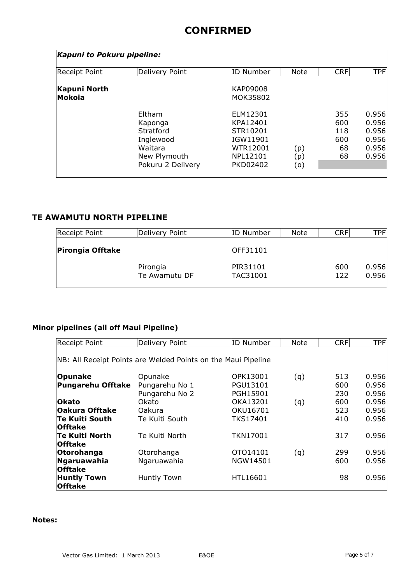| Kapuni to Pokuru pipeline:    |                                                                                             |                                                                                                |                   |                                      |                                                    |
|-------------------------------|---------------------------------------------------------------------------------------------|------------------------------------------------------------------------------------------------|-------------------|--------------------------------------|----------------------------------------------------|
| <b>Receipt Point</b>          | Delivery Point                                                                              | ID Number                                                                                      | <b>Note</b>       | <b>CRF</b>                           | <b>TPF</b>                                         |
| Kapuni North<br><b>Mokoia</b> |                                                                                             | <b>KAP09008</b><br>MOK35802                                                                    |                   |                                      |                                                    |
|                               | Eltham<br>Kaponga<br>Stratford<br>Inglewood<br>Waitara<br>New Plymouth<br>Pokuru 2 Delivery | ELM12301<br>KPA12401<br>STR10201<br>IGW11901<br><b>WTR12001</b><br>NPL12101<br><b>PKD02402</b> | (p)<br>(p)<br>(o) | 355<br>600<br>118<br>600<br>68<br>68 | 0.956<br>0.956<br>0.956<br>0.956<br>0.956<br>0.956 |

### **TE AWAMUTU NORTH PIPELINE**

| Delivery Point            | ID Number            | Note | CRF        | TPFI           |
|---------------------------|----------------------|------|------------|----------------|
|                           | OFF31101             |      |            |                |
| Pirongia<br>Te Awamutu DF | PIR31101<br>TAC31001 |      | 600<br>122 | 0.956<br>0.956 |
|                           |                      |      |            |                |

### **Minor pipelines (all off Maui Pipeline)**

| <b>Receipt Point</b>                                          | Delivery Point     | <b>ID Number</b> | <b>Note</b> | <b>CRF</b> | <b>TPF</b> |  |  |
|---------------------------------------------------------------|--------------------|------------------|-------------|------------|------------|--|--|
| NB: All Receipt Points are Welded Points on the Maui Pipeline |                    |                  |             |            |            |  |  |
|                                                               |                    |                  |             |            |            |  |  |
| <b>Opunake</b>                                                | Opunake            | OPK13001         | (q)         | 513        | 0.956      |  |  |
| <b>Pungarehu Offtake</b>                                      | Pungarehu No 1     | PGU13101         |             | 600        | 0.956      |  |  |
|                                                               | Pungarehu No 2     | PGH15901         |             | 230        | 0.956      |  |  |
| <b>lOkato</b>                                                 | Okato              | OKA13201         | (q)         | 600        | 0.956      |  |  |
| lOakura Offtake                                               | <b>Oakura</b>      | OKU16701         |             | 523        | 0.956      |  |  |
| <b>Te Kuiti South</b>                                         | Te Kuiti South     | <b>TKS17401</b>  |             | 410        | 0.956      |  |  |
| <b>Offtake</b>                                                |                    |                  |             |            |            |  |  |
| <b>Te Kuiti North</b>                                         | Te Kuiti North     | <b>TKN17001</b>  |             | 317        | 0.956      |  |  |
| <b>Offtake</b>                                                |                    |                  |             |            |            |  |  |
| Otorohanga                                                    | Otorohanga         | OTO14101         | (q)         | 299        | 0.956      |  |  |
| Ngaruawahia                                                   | Ngaruawahia        | NGW14501         |             | 600        | 0.956      |  |  |
| <b>Offtake</b>                                                |                    |                  |             |            |            |  |  |
| <b>Huntly Town</b>                                            | <b>Huntly Town</b> | HTL16601         |             | 98         | 0.956      |  |  |
| <b>Offtake</b>                                                |                    |                  |             |            |            |  |  |

#### **Notes:**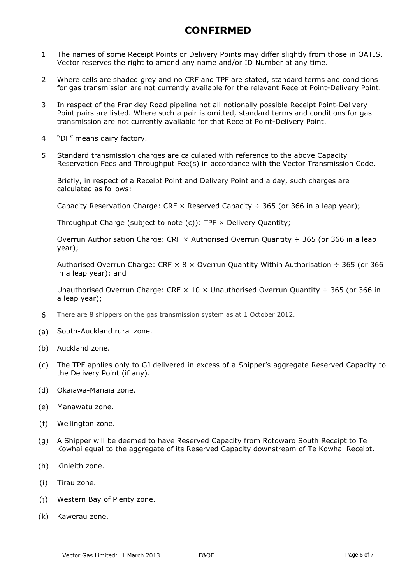- 1 The names of some Receipt Points or Delivery Points may differ slightly from those in OATIS. Vector reserves the right to amend any name and/or ID Number at any time.
- 2 Where cells are shaded grey and no CRF and TPF are stated, standard terms and conditions for gas transmission are not currently available for the relevant Receipt Point-Delivery Point.
- 3 In respect of the Frankley Road pipeline not all notionally possible Receipt Point-Delivery Point pairs are listed. Where such a pair is omitted, standard terms and conditions for gas transmission are not currently available for that Receipt Point-Delivery Point.
- 4 "DF" means dairy factory.
- 5 Standard transmission charges are calculated with reference to the above Capacity Reservation Fees and Throughput Fee(s) in accordance with the Vector Transmission Code.

Briefly, in respect of a Receipt Point and Delivery Point and a day, such charges are calculated as follows:

Capacity Reservation Charge: CRF  $\times$  Reserved Capacity  $\div$  365 (or 366 in a leap year);

Throughput Charge (subject to note  $(c)$ ): TPF  $\times$  Delivery Quantity;

Overrun Authorisation Charge: CRF  $\times$  Authorised Overrun Quantity  $\div$  365 (or 366 in a leap year);

Authorised Overrun Charge: CRF  $\times$  8  $\times$  Overrun Quantity Within Authorisation  $\div$  365 (or 366 in a leap year); and

Unauthorised Overrun Charge: CRF  $\times$  10  $\times$  Unauthorised Overrun Quantity  $\div$  365 (or 366 in a leap year);

- 6 There are 8 shippers on the gas transmission system as at 1 October 2012.
- (a) South-Auckland rural zone.
- (b) Auckland zone.
- (c) The TPF applies only to GJ delivered in excess of a Shipper's aggregate Reserved Capacity to the Delivery Point (if any).
- (d) Okaiawa-Manaia zone.
- (e) Manawatu zone.
- (f) Wellington zone.
- (g) A Shipper will be deemed to have Reserved Capacity from Rotowaro South Receipt to Te Kowhai equal to the aggregate of its Reserved Capacity downstream of Te Kowhai Receipt.
- (h) Kinleith zone.
- (i) Tirau zone.
- (j) Western Bay of Plenty zone.
- (k) Kawerau zone.